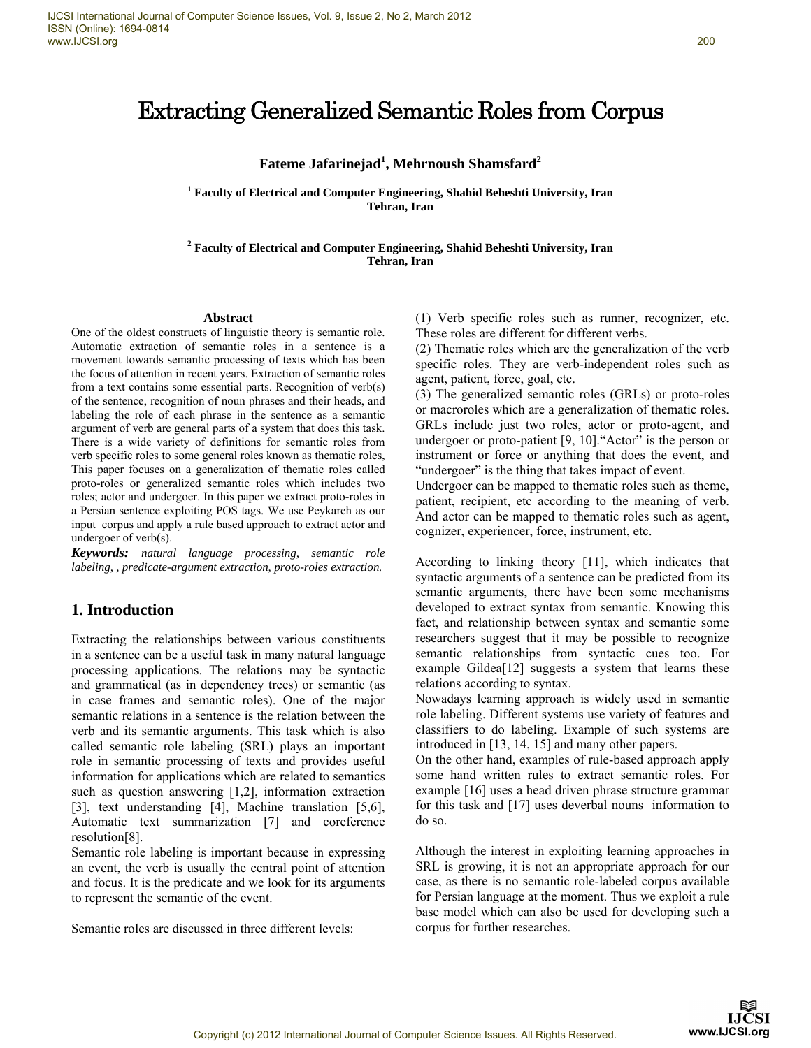# Extracting Generalized Semantic Roles from Corpus

## **Fateme Jafarinejad1 , Mehrnoush Shamsfard<sup>2</sup>**

**1 Faculty of Electrical and Computer Engineering, Shahid Beheshti University, Iran Tehran, Iran** 

**2 Faculty of Electrical and Computer Engineering, Shahid Beheshti University, Iran Tehran, Iran** 

#### **Abstract**

One of the oldest constructs of linguistic theory is semantic role. Automatic extraction of semantic roles in a sentence is a movement towards semantic processing of texts which has been the focus of attention in recent years. Extraction of semantic roles from a text contains some essential parts. Recognition of verb(s) of the sentence, recognition of noun phrases and their heads, and labeling the role of each phrase in the sentence as a semantic argument of verb are general parts of a system that does this task. There is a wide variety of definitions for semantic roles from verb specific roles to some general roles known as thematic roles, This paper focuses on a generalization of thematic roles called proto-roles or generalized semantic roles which includes two roles; actor and undergoer. In this paper we extract proto-roles in a Persian sentence exploiting POS tags. We use Peykareh as our input corpus and apply a rule based approach to extract actor and undergoer of verb(s).

*Keywords: natural language processing, semantic role labeling, , predicate-argument extraction, proto-roles extraction.*

## **1. Introduction**

Extracting the relationships between various constituents in a sentence can be a useful task in many natural language processing applications. The relations may be syntactic and grammatical (as in dependency trees) or semantic (as in case frames and semantic roles). One of the major semantic relations in a sentence is the relation between the verb and its semantic arguments. This task which is also called semantic role labeling (SRL) plays an important role in semantic processing of texts and provides useful information for applications which are related to semantics such as question answering [1,2], information extraction [3], text understanding [4], Machine translation [5,6], Automatic text summarization [7] and coreference resolution[8].

Semantic role labeling is important because in expressing an event, the verb is usually the central point of attention and focus. It is the predicate and we look for its arguments to represent the semantic of the event.

Semantic roles are discussed in three different levels:

(1) Verb specific roles such as runner, recognizer, etc. These roles are different for different verbs.

(2) Thematic roles which are the generalization of the verb specific roles. They are verb-independent roles such as agent, patient, force, goal, etc.

(3) The generalized semantic roles (GRLs) or proto-roles or macroroles which are a generalization of thematic roles. GRLs include just two roles, actor or proto-agent, and undergoer or proto-patient [9, 10]."Actor" is the person or instrument or force or anything that does the event, and "undergoer" is the thing that takes impact of event.

Undergoer can be mapped to thematic roles such as theme, patient, recipient, etc according to the meaning of verb. And actor can be mapped to thematic roles such as agent, cognizer, experiencer, force, instrument, etc.

According to linking theory [11], which indicates that syntactic arguments of a sentence can be predicted from its semantic arguments, there have been some mechanisms developed to extract syntax from semantic. Knowing this fact, and relationship between syntax and semantic some researchers suggest that it may be possible to recognize semantic relationships from syntactic cues too. For example Gildea<sup>[12]</sup> suggests a system that learns these relations according to syntax.

Nowadays learning approach is widely used in semantic role labeling. Different systems use variety of features and classifiers to do labeling. Example of such systems are introduced in [13, 14, 15] and many other papers.

On the other hand, examples of rule-based approach apply some hand written rules to extract semantic roles. For example [16] uses a head driven phrase structure grammar for this task and [17] uses deverbal nouns information to do so.

Although the interest in exploiting learning approaches in SRL is growing, it is not an appropriate approach for our case, as there is no semantic role-labeled corpus available for Persian language at the moment. Thus we exploit a rule base model which can also be used for developing such a corpus for further researches.

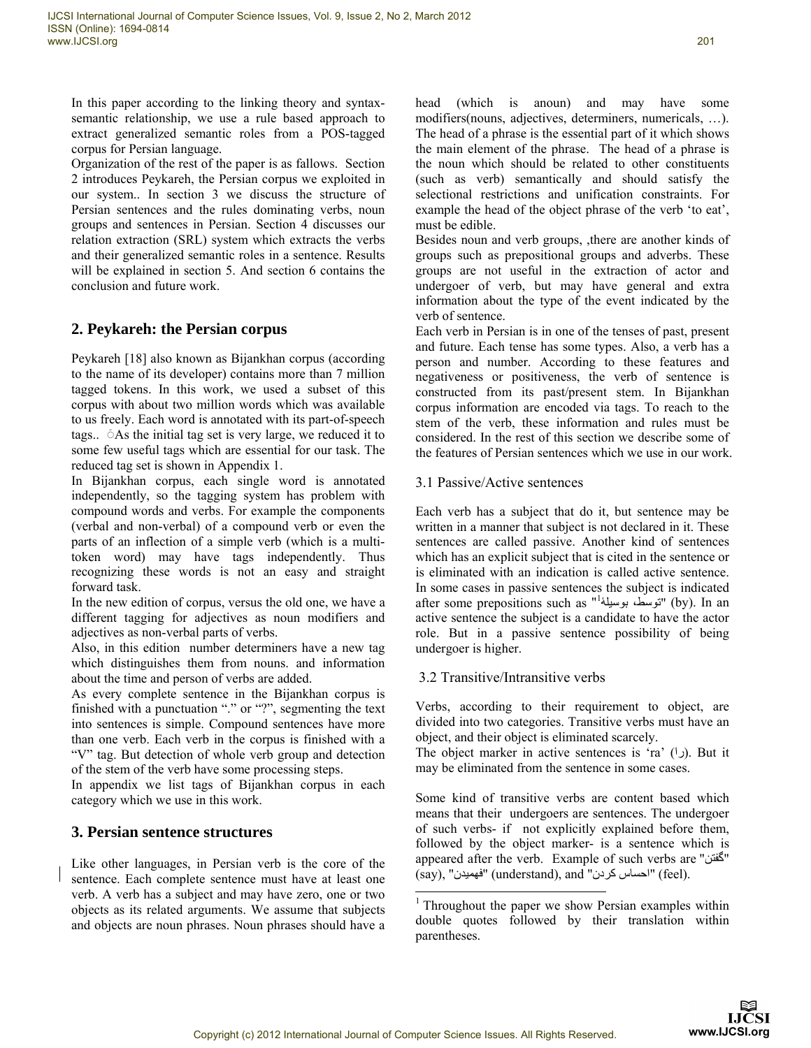In this paper according to the linking theory and syntaxsemantic relationship, we use a rule based approach to extract generalized semantic roles from a POS-tagged corpus for Persian language.

Organization of the rest of the paper is as fallows. Section 2 introduces Peykareh, the Persian corpus we exploited in our system.. In section 3 we discuss the structure of Persian sentences and the rules dominating verbs, noun groups and sentences in Persian. Section 4 discusses our relation extraction (SRL) system which extracts the verbs and their generalized semantic roles in a sentence. Results will be explained in section 5. And section 6 contains the conclusion and future work.

## **2. Peykareh: the Persian corpus**

Peykareh [18] also known as Bijankhan corpus (according to the name of its developer) contains more than 7 million tagged tokens. In this work, we used a subset of this corpus with about two million words which was available to us freely. Each word is annotated with its part-of-speech tags.. As the initial tag set is very large, we reduced it to some few useful tags which are essential for our task. The reduced tag set is shown in Appendix 1.

In Bijankhan corpus, each single word is annotated independently, so the tagging system has problem with compound words and verbs. For example the components (verbal and non-verbal) of a compound verb or even the parts of an inflection of a simple verb (which is a multitoken word) may have tags independently. Thus recognizing these words is not an easy and straight forward task.

In the new edition of corpus, versus the old one, we have a different tagging for adjectives as noun modifiers and adjectives as non-verbal parts of verbs.

Also, in this edition number determiners have a new tag which distinguishes them from nouns. and information about the time and person of verbs are added.

As every complete sentence in the Bijankhan corpus is finished with a punctuation "." or "?", segmenting the text into sentences is simple. Compound sentences have more than one verb. Each verb in the corpus is finished with a "V" tag. But detection of whole verb group and detection of the stem of the verb have some processing steps.

In appendix we list tags of Bijankhan corpus in each category which we use in this work.

## **3. Persian sentence structures**

Like other languages, in Persian verb is the core of the sentence. Each complete sentence must have at least one verb. A verb has a subject and may have zero, one or two objects as its related arguments. We assume that subjects and objects are noun phrases. Noun phrases should have a head (which is anoun) and may have some modifiers(nouns, adjectives, determiners, numericals, …). The head of a phrase is the essential part of it which shows the main element of the phrase. The head of a phrase is the noun which should be related to other constituents (such as verb) semantically and should satisfy the selectional restrictions and unification constraints. For example the head of the object phrase of the verb 'to eat', must be edible.

Besides noun and verb groups, ,there are another kinds of groups such as prepositional groups and adverbs. These groups are not useful in the extraction of actor and undergoer of verb, but may have general and extra information about the type of the event indicated by the verb of sentence.

Each verb in Persian is in one of the tenses of past, present and future. Each tense has some types. Also, a verb has a person and number. According to these features and negativeness or positiveness, the verb of sentence is constructed from its past/present stem. In Bijankhan corpus information are encoded via tags. To reach to the stem of the verb, these information and rules must be considered. In the rest of this section we describe some of the features of Persian sentences which we use in our work.

## 3.1 Passive/Active sentences

Each verb has a subject that do it, but sentence may be written in a manner that subject is not declared in it. These sentences are called passive. Another kind of sentences which has an explicit subject that is cited in the sentence or is eliminated with an indication is called active sentence. In some cases in passive sentences the subject is indicated after some prepositions such as "'توسَّط، بوسيلۀ'' (by). In an active sentence the subject is a candidate to have the actor role. But in a passive sentence possibility of being undergoer is higher.

## 3.2 Transitive/Intransitive verbs

Verbs, according to their requirement to object, are divided into two categories. Transitive verbs must have an object, and their object is eliminated scarcely.

The object marker in active sentences is 'ra' ( $\cup$ ). But it may be eliminated from the sentence in some cases.

Some kind of transitive verbs are content based which means that their undergoers are sentences. The undergoer of such verbs- if not explicitly explained before them, followed by the object marker- is a sentence which is appeared after the verb. Example of such verbs are " " گفتن (say), "فهميدن" (understand), and " احساس كردن") (feel).

l

<sup>&</sup>lt;sup>1</sup> Throughout the paper we show Persian examples within double quotes followed by their translation within parentheses.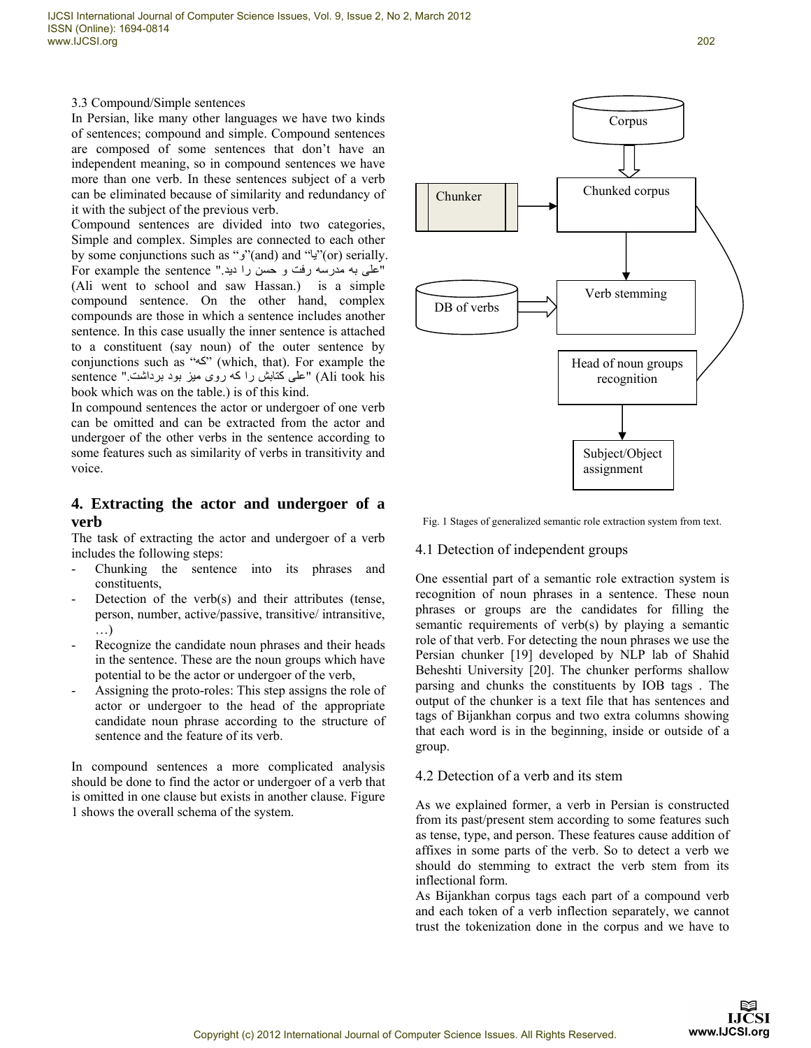3.3 Compound/Simple sentences

In Persian, like many other languages we have two kinds of sentences; compound and simple. Compound sentences are composed of some sentences that don't have an independent meaning, so in compound sentences we have more than one verb. In these sentences subject of a verb can be eliminated because of similarity and redundancy of it with the subject of the previous verb.

Compound sentences are divided into two categories, Simple and complex. Simples are connected to each other by some conjunctions such as " $\check{y}$ "(and) and " $\check{y}$ "(or) serially. For example the sentence ". "على به مدرسه رفت و حسن را ديد (Ali went to school and saw Hassan.) is a simple compound sentence. On the other hand, complex compounds are those in which a sentence includes another sentence. In this case usually the inner sentence is attached to a constituent (say noun) of the outer sentence by conjunctions such as "كه) (which, that). For example the sentence "علی کتابش را که روی ميز بود برداشت " sentence book which was on the table.) is of this kind.

In compound sentences the actor or undergoer of one verb can be omitted and can be extracted from the actor and undergoer of the other verbs in the sentence according to some features such as similarity of verbs in transitivity and voice.

## **4. Extracting the actor and undergoer of a verb**

The task of extracting the actor and undergoer of a verb includes the following steps:

- Chunking the sentence into its phrases and constituents,
- Detection of the verb(s) and their attributes (tense, person, number, active/passive, transitive/ intransitive, …)
- Recognize the candidate noun phrases and their heads in the sentence. These are the noun groups which have potential to be the actor or undergoer of the verb,
- Assigning the proto-roles: This step assigns the role of actor or undergoer to the head of the appropriate candidate noun phrase according to the structure of sentence and the feature of its verb.

In compound sentences a more complicated analysis should be done to find the actor or undergoer of a verb that is omitted in one clause but exists in another clause. Figure 1 shows the overall schema of the system.



Fig. 1 Stages of generalized semantic role extraction system from text.

#### 4.1 Detection of independent groups

One essential part of a semantic role extraction system is recognition of noun phrases in a sentence. These noun phrases or groups are the candidates for filling the semantic requirements of verb(s) by playing a semantic role of that verb. For detecting the noun phrases we use the Persian chunker [19] developed by NLP lab of Shahid Beheshti University [20]. The chunker performs shallow parsing and chunks the constituents by IOB tags . The output of the chunker is a text file that has sentences and tags of Bijankhan corpus and two extra columns showing that each word is in the beginning, inside or outside of a group.

## 4.2 Detection of a verb and its stem

As we explained former, a verb in Persian is constructed from its past/present stem according to some features such as tense, type, and person. These features cause addition of affixes in some parts of the verb. So to detect a verb we should do stemming to extract the verb stem from its inflectional form.

As Bijankhan corpus tags each part of a compound verb and each token of a verb inflection separately, we cannot trust the tokenization done in the corpus and we have to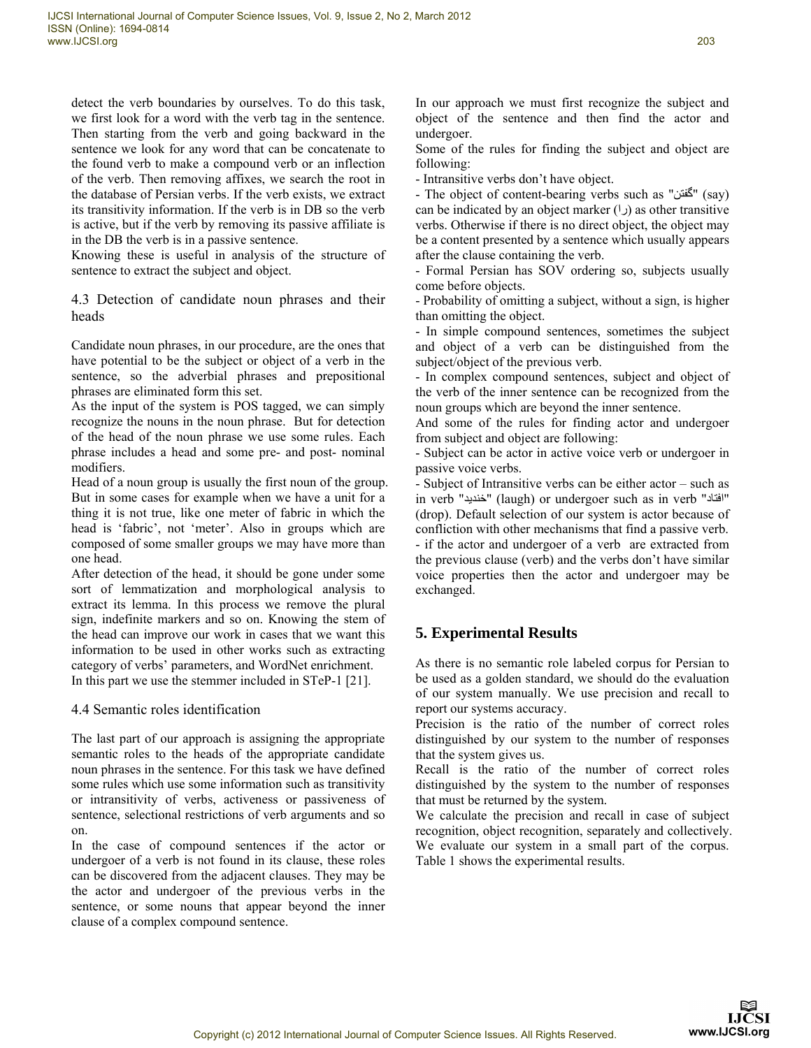detect the verb boundaries by ourselves. To do this task, we first look for a word with the verb tag in the sentence. Then starting from the verb and going backward in the sentence we look for any word that can be concatenate to the found verb to make a compound verb or an inflection of the verb. Then removing affixes, we search the root in the database of Persian verbs. If the verb exists, we extract its transitivity information. If the verb is in DB so the verb is active, but if the verb by removing its passive affiliate is in the DB the verb is in a passive sentence.

Knowing these is useful in analysis of the structure of sentence to extract the subject and object.

4.3 Detection of candidate noun phrases and their heads

Candidate noun phrases, in our procedure, are the ones that have potential to be the subject or object of a verb in the sentence, so the adverbial phrases and prepositional phrases are eliminated form this set.

As the input of the system is POS tagged, we can simply recognize the nouns in the noun phrase. But for detection of the head of the noun phrase we use some rules. Each phrase includes a head and some pre- and post- nominal modifiers.

Head of a noun group is usually the first noun of the group. But in some cases for example when we have a unit for a thing it is not true, like one meter of fabric in which the head is 'fabric', not 'meter'. Also in groups which are composed of some smaller groups we may have more than one head.

After detection of the head, it should be gone under some sort of lemmatization and morphological analysis to extract its lemma. In this process we remove the plural sign, indefinite markers and so on. Knowing the stem of the head can improve our work in cases that we want this information to be used in other works such as extracting category of verbs' parameters, and WordNet enrichment. In this part we use the stemmer included in STeP-1 [21].

4.4 Semantic roles identification

The last part of our approach is assigning the appropriate semantic roles to the heads of the appropriate candidate noun phrases in the sentence. For this task we have defined some rules which use some information such as transitivity or intransitivity of verbs, activeness or passiveness of sentence, selectional restrictions of verb arguments and so on.

In the case of compound sentences if the actor or undergoer of a verb is not found in its clause, these roles can be discovered from the adjacent clauses. They may be the actor and undergoer of the previous verbs in the sentence, or some nouns that appear beyond the inner clause of a complex compound sentence.

In our approach we must first recognize the subject and object of the sentence and then find the actor and undergoer.

Some of the rules for finding the subject and object are following:

- Intransitive verbs don't have object.

- The object of content-bearing verbs such as "كَفتن" (say) can be indicated by an object marker ( $\cup$ ) as other transitive verbs. Otherwise if there is no direct object, the object may be a content presented by a sentence which usually appears after the clause containing the verb.

- Formal Persian has SOV ordering so, subjects usually come before objects.

- Probability of omitting a subject, without a sign, is higher than omitting the object.

- In simple compound sentences, sometimes the subject and object of a verb can be distinguished from the subject/object of the previous verb.

- In complex compound sentences, subject and object of the verb of the inner sentence can be recognized from the noun groups which are beyond the inner sentence.

And some of the rules for finding actor and undergoer from subject and object are following:

- Subject can be actor in active voice verb or undergoer in passive voice verbs.

- Subject of Intransitive verbs can be either actor – such as in verb " " (laugh) or undergoer such as in verb " خنديد " افتاد (drop). Default selection of our system is actor because of confliction with other mechanisms that find a passive verb. - if the actor and undergoer of a verb are extracted from the previous clause (verb) and the verbs don't have similar voice properties then the actor and undergoer may be exchanged.

## **5. Experimental Results**

As there is no semantic role labeled corpus for Persian to be used as a golden standard, we should do the evaluation of our system manually. We use precision and recall to report our systems accuracy.

Precision is the ratio of the number of correct roles distinguished by our system to the number of responses that the system gives us.

Recall is the ratio of the number of correct roles distinguished by the system to the number of responses that must be returned by the system.

We calculate the precision and recall in case of subject recognition, object recognition, separately and collectively. We evaluate our system in a small part of the corpus. Table 1 shows the experimental results.

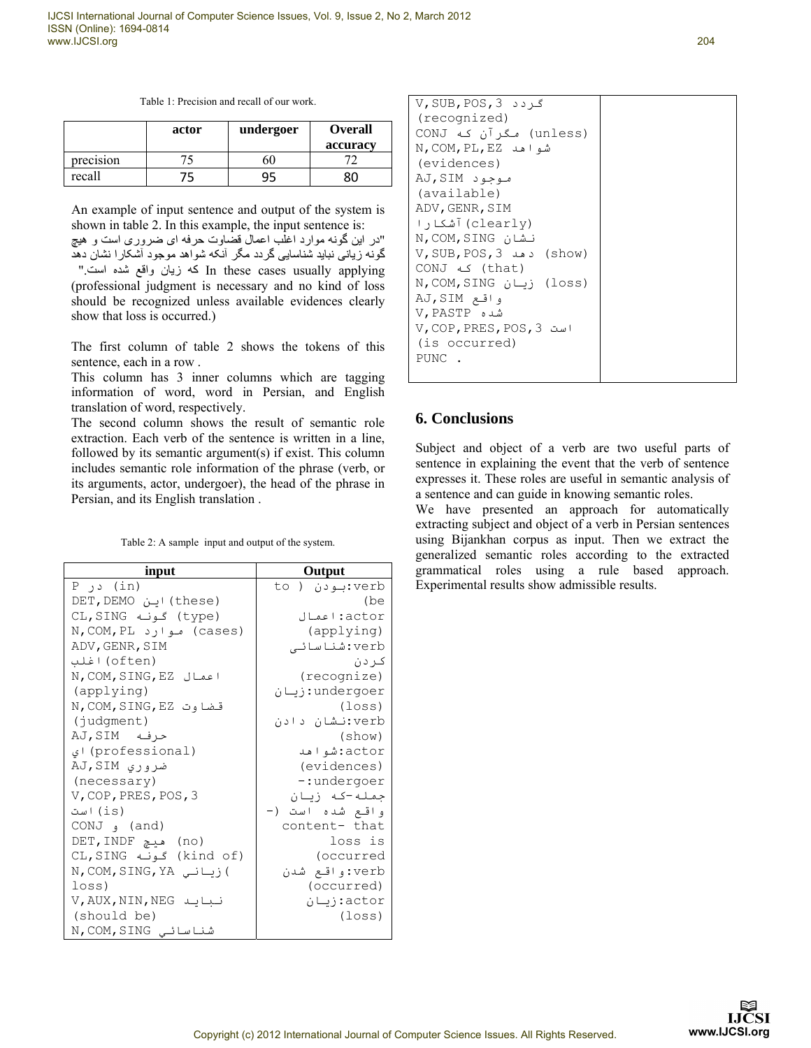| Table 1: Precision and recall of our work. |  |
|--------------------------------------------|--|
|--------------------------------------------|--|

|           | actor | undergoer | <b>Overall</b> |
|-----------|-------|-----------|----------------|
|           |       |           | accuracy       |
| precision |       | 50        |                |
| recall    | 5'    | 95        |                |

An example of input sentence and output of the system is shown in table 2. In this example, the input sentence is: "در اين گونه موارد اغلب اعمال قضاوت حرفه ای ضروری است و ھيچ گونه زيانی نبايد شناسايی گردد مگر آنکه شواھد موجود آشکارا نشان دھد ". كه زيان واقع شده است" (professional judgment is necessary and no kind of loss should be recognized unless available evidences clearly show that loss is occurred.)

The first column of table 2 shows the tokens of this sentence, each in a row .

This column has 3 inner columns which are tagging information of word, word in Persian, and English translation of word, respectively.

The second column shows the result of semantic role extraction. Each verb of the sentence is written in a line, followed by its semantic argument(s) if exist. This column includes semantic role information of the phrase (verb, or its arguments, actor, undergoer), the head of the phrase in Persian, and its English translation .

| Table 2: A sample input and output of the system. |  |
|---------------------------------------------------|--|
|---------------------------------------------------|--|

| input                  | Output           |
|------------------------|------------------|
| $P$ $\rightarrow$ (in) | verb:بودن ( to   |
| (these) این DET, DEMO  | (be              |
| CL,SING گونه) (type    | actor:اعمال      |
| (cases) موارد N,COM,PL | (applying)       |
| ADV, GENR, SIM         | verb:شناسائے     |
| (often) اغلب           | ک دن             |
| N, COM, SING, EZ اعمال | (recognize)      |
| (applying)             | undergoer: زيان  |
| قضاوت N,COM,SING,EZ    | (loss)           |
| (judgment)             | verb:نشان دادن   |
| حرفه AJ,SIM            | (show)           |
| (professional) اي      | actor:شواهد      |
| ضروری AJ,SIM           | (evidences)      |
| (necessary)            | -:undergoer      |
| V, COP, PRES, POS, 3   | جمله-که زنان     |
| (is) است               | واقـع شده است (- |
| (and) و CONJ           | content- that    |
| (no) هيچ DET,INDF      | loss is          |
| (kind of) گونه CL,SING | (occurred        |
| ) زیانی N,COM,SING,YA  | verb:واقع شدن    |
| $loss$ )               | (occurred)       |
| V, AUX, NIN, NEG نبايد | actor: زىبان     |
| (should be)            | (loss)           |
| شناسائے N,COM,SING     |                  |

| $V$ , SUB, POS, 3 کردد             |  |
|------------------------------------|--|
| (recognized)                       |  |
| (unless) مگرآن که CONJ             |  |
| شواهد N,COM, PL, EZ                |  |
| (evidences)                        |  |
| موجود AJ,SIM                       |  |
| (available)                        |  |
| ADV, GENR, SIM                     |  |
| (clearly) آشکا ر ۱                 |  |
| نىشان N,COM,SING                   |  |
| V, SUB, POS, 3 د هد $V$ , SUB, POS |  |
| CONJ که CONJ                       |  |
| (loss) زبان N, COM, SING           |  |
| واقع AJ,SIM                        |  |
| شده V,PASTP                        |  |
| است V, COP, PRES, POS, 3           |  |
| (is occurred)                      |  |
| PUNC.                              |  |

#### **6. Conclusions**

Subject and object of a verb are two useful parts of sentence in explaining the event that the verb of sentence expresses it. These roles are useful in semantic analysis of a sentence and can guide in knowing semantic roles.

We have presented an approach for automatically extracting subject and object of a verb in Persian sentences using Bijankhan corpus as input. Then we extract the generalized semantic roles according to the extracted grammatical roles using a rule based approach. Experimental results show admissible results.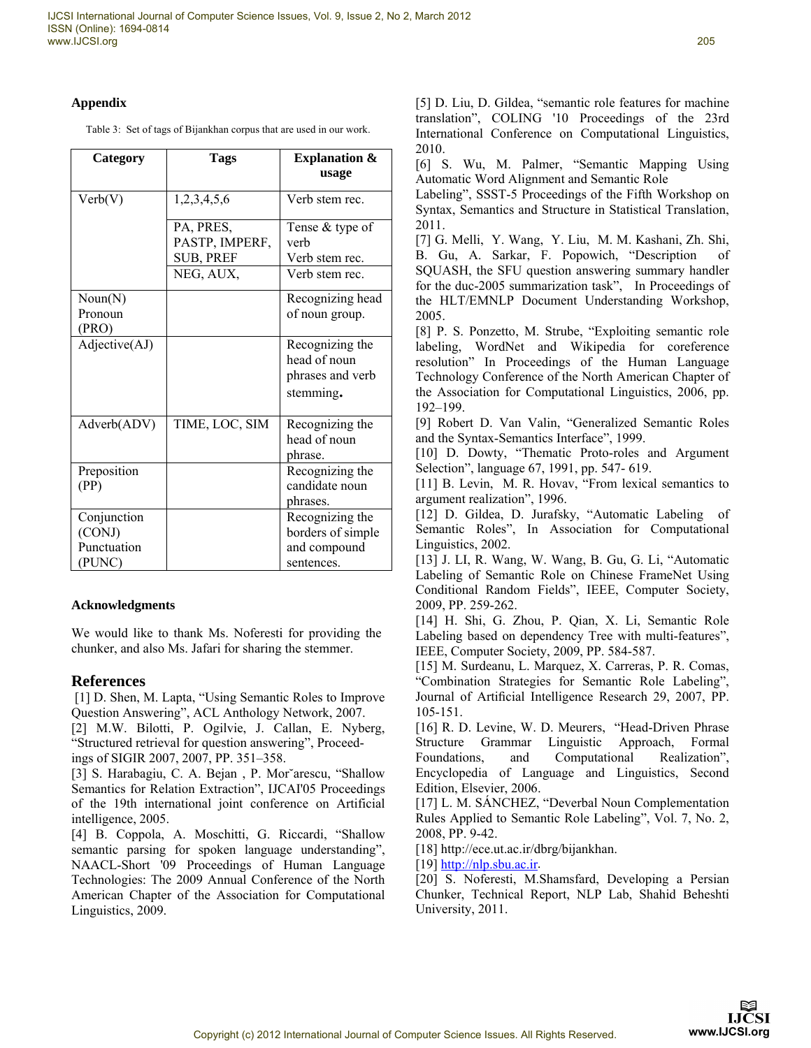#### **Appendix**

Table 3: Set of tags of Bijankhan corpus that are used in our work.

| Category                                       | <b>Tags</b>                                     | <b>Explanation &amp;</b><br>usage                                  |
|------------------------------------------------|-------------------------------------------------|--------------------------------------------------------------------|
| Verb(V)                                        | 1,2,3,4,5,6                                     | Verb stem rec.                                                     |
|                                                | PA, PRES,<br>PASTP, IMPERF,<br><b>SUB, PREF</b> | Tense & type of<br>verh<br>Verb stem rec.                          |
|                                                | NEG, AUX,                                       | Verb stem rec.                                                     |
| Noun(N)<br>Pronoun<br>(PRO)                    |                                                 | Recognizing head<br>of noun group.                                 |
| Adjective(AJ)                                  |                                                 | Recognizing the<br>head of noun<br>phrases and verb<br>stemming.   |
| Adverb(ADV)                                    | TIME, LOC, SIM                                  | Recognizing the<br>head of noun<br>phrase.                         |
| Preposition<br>(PP)                            |                                                 | Recognizing the<br>candidate noun<br>phrases.                      |
| Conjunction<br>(CONJ)<br>Punctuation<br>(PUNC) |                                                 | Recognizing the<br>borders of simple<br>and compound<br>sentences. |

## **Acknowledgments**

We would like to thank Ms. Noferesti for providing the chunker, and also Ms. Jafari for sharing the stemmer.

## **References**

 [1] D. Shen, M. Lapta, "Using Semantic Roles to Improve Question Answering", ACL Anthology Network, 2007.

[2] M.W. Bilotti, P. Ogilvie, J. Callan, E. Nyberg, "Structured retrieval for question answering", Proceedings of SIGIR 2007, 2007, PP. 351–358.

[3] S. Harabagiu, C. A. Bejan , P. Mor˘arescu, "Shallow Semantics for Relation Extraction", IJCAI'05 Proceedings of the 19th international joint conference on Artificial intelligence, 2005.

[4] B. Coppola, A. Moschitti, G. Riccardi, "Shallow semantic parsing for spoken language understanding", NAACL-Short '09 Proceedings of Human Language Technologies: The 2009 Annual Conference of the North American Chapter of the Association for Computational Linguistics, 2009.

[5] D. Liu, D. Gildea, "semantic role features for machine translation", COLING '10 Proceedings of the 23rd International Conference on Computational Linguistics, 2010.

[6] S. Wu, M. Palmer, "Semantic Mapping Using Automatic Word Alignment and Semantic Role

Labeling", SSST-5 Proceedings of the Fifth Workshop on Syntax, Semantics and Structure in Statistical Translation, 2011.

[7] G. Melli, Y. Wang, Y. Liu, M. M. Kashani, Zh. Shi, B. Gu, A. Sarkar, F. Popowich, "Description of SQUASH, the SFU question answering summary handler for the duc-2005 summarization task", In Proceedings of the HLT/EMNLP Document Understanding Workshop, 2005.

[8] P. S. Ponzetto, M. Strube, "Exploiting semantic role labeling, WordNet and Wikipedia for coreference resolution" In Proceedings of the Human Language Technology Conference of the North American Chapter of the Association for Computational Linguistics, 2006, pp. 192–199.

[9] Robert D. Van Valin, "Generalized Semantic Roles and the Syntax-Semantics Interface", 1999.

[10] D. Dowty, "Thematic Proto-roles and Argument Selection", language 67, 1991, pp. 547- 619.

[11] B. Levin, M. R. Hovav, "From lexical semantics to argument realization", 1996.

[12] D. Gildea, D. Jurafsky, "Automatic Labeling of Semantic Roles", In Association for Computational Linguistics, 2002.

[13] J. LI, R. Wang, W. Wang, B. Gu, G. Li, "Automatic Labeling of Semantic Role on Chinese FrameNet Using Conditional Random Fields", IEEE, Computer Society, 2009, PP. 259-262.

[14] H. Shi, G. Zhou, P. Qian, X. Li, Semantic Role Labeling based on dependency Tree with multi-features", IEEE, Computer Society, 2009, PP. 584-587.

[15] M. Surdeanu, L. Marquez, X. Carreras, P. R. Comas, "Combination Strategies for Semantic Role Labeling", Journal of Artificial Intelligence Research 29, 2007, PP. 105-151.

[16] R. D. Levine, W. D. Meurers, "Head-Driven Phrase Structure Grammar Linguistic Approach, Formal Foundations, and Computational Realization", Encyclopedia of Language and Linguistics, Second Edition, Elsevier, 2006.

[17] L. M. SÁNCHEZ, "Deverbal Noun Complementation Rules Applied to Semantic Role Labeling", Vol. 7, No. 2, 2008, PP. 9-42.

[18] http://ece.ut.ac.ir/dbrg/bijankhan.

 $[19]$  http://nlp.sbu.ac.ir.

[20] S. Noferesti, M.Shamsfard, Developing a Persian Chunker, Technical Report, NLP Lab, Shahid Beheshti University, 2011.